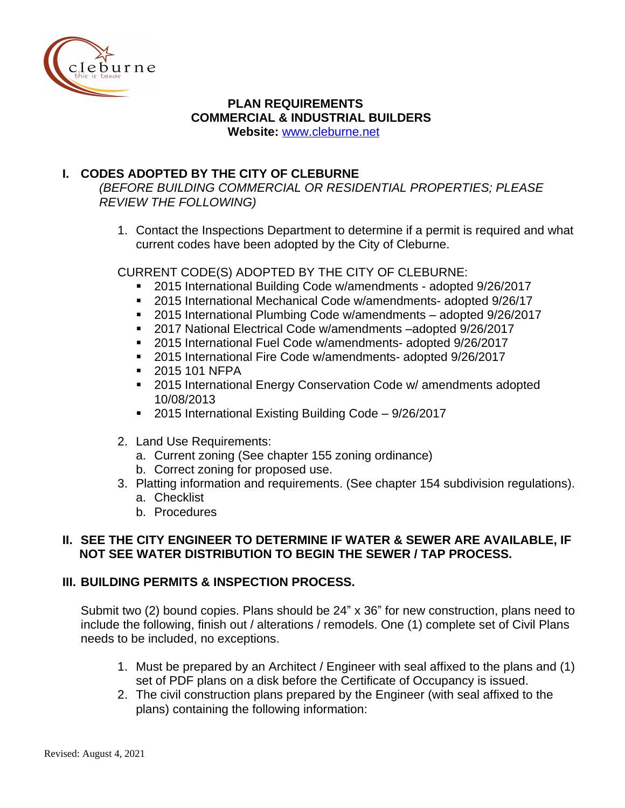

#### **PLAN REQUIREMENTS COMMERCIAL & INDUSTRIAL BUILDERS Website:** [www.cleburne.net](../../Building Dept/Requirements & CD List/www.cleburne.net)

# **I. CODES ADOPTED BY THE CITY OF CLEBURNE**

*(BEFORE BUILDING COMMERCIAL OR RESIDENTIAL PROPERTIES; PLEASE REVIEW THE FOLLOWING)*

1. Contact the Inspections Department to determine if a permit is required and what current codes have been adopted by the City of Cleburne.

CURRENT CODE(S) ADOPTED BY THE CITY OF CLEBURNE:

- 2015 International Building Code w/amendments adopted 9/26/2017
- 2015 International Mechanical Code w/amendments- adopted 9/26/17
- 2015 International Plumbing Code w/amendments adopted 9/26/2017
- 2017 National Electrical Code w/amendments -adopted 9/26/2017
- 2015 International Fuel Code w/amendments- adopted 9/26/2017
- 2015 International Fire Code w/amendments- adopted 9/26/2017
- 2015 101 NFPA
- 2015 International Energy Conservation Code w/ amendments adopted 10/08/2013
- 2015 International Existing Building Code 9/26/2017
- 2. Land Use Requirements:
	- a. Current zoning (See chapter 155 zoning ordinance)
	- b. Correct zoning for proposed use.
- 3. Platting information and requirements. (See chapter 154 subdivision regulations). a. Checklist
	- b. Procedures

### **II. SEE THE CITY ENGINEER TO DETERMINE IF WATER & SEWER ARE AVAILABLE, IF NOT SEE WATER DISTRIBUTION TO BEGIN THE SEWER / TAP PROCESS.**

### **III. BUILDING PERMITS & INSPECTION PROCESS.**

Submit two (2) bound copies. Plans should be 24" x 36" for new construction, plans need to include the following, finish out / alterations / remodels. One (1) complete set of Civil Plans needs to be included, no exceptions.

- 1. Must be prepared by an Architect / Engineer with seal affixed to the plans and (1) set of PDF plans on a disk before the Certificate of Occupancy is issued.
- 2. The civil construction plans prepared by the Engineer (with seal affixed to the plans) containing the following information: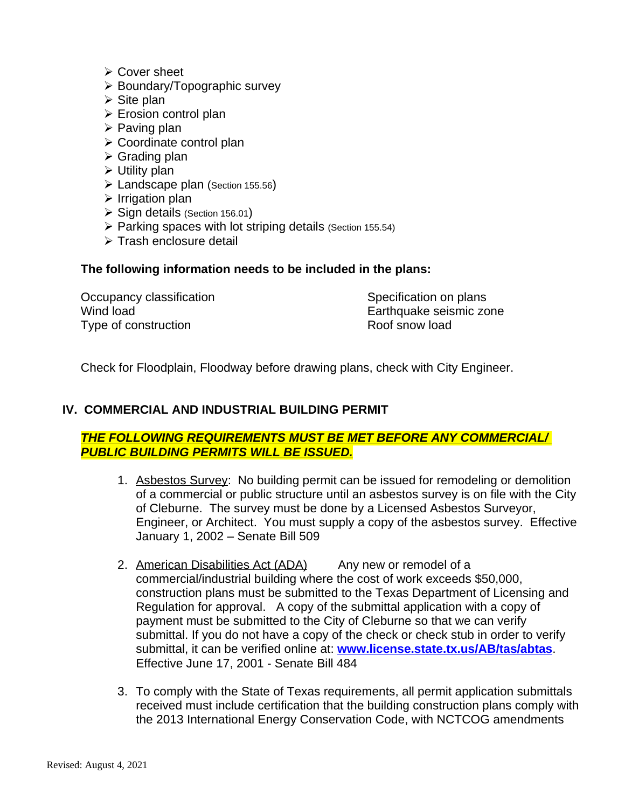- Cover sheet
- $\triangleright$  Boundary/Topographic survey
- $\triangleright$  Site plan
- $\triangleright$  Erosion control plan
- $\triangleright$  Paving plan
- Coordinate control plan
- $\triangleright$  Grading plan
- $\triangleright$  Utility plan
- > Landscape plan (Section 155.56)
- $\triangleright$  Irrigation plan
- $\triangleright$  Sign details (Section 156.01)
- $\triangleright$  Parking spaces with lot striping details (Section 155.54)
- > Trash enclosure detail

### **The following information needs to be included in the plans:**

| Occupancy classification | Specification on plans  |
|--------------------------|-------------------------|
| Wind load                | Earthquake seismic zone |
| Type of construction     | Roof snow load          |

Check for Floodplain, Floodway before drawing plans, check with City Engineer.

## **IV. COMMERCIAL AND INDUSTRIAL BUILDING PERMIT**

# *THE FOLLOWING REQUIREMENTS MUST BE MET BEFORE ANY COMMERCIAL/ PUBLIC BUILDING PERMITS WILL BE ISSUED.*

- 1. Asbestos Survey: No building permit can be issued for remodeling or demolition of a commercial or public structure until an asbestos survey is on file with the City of Cleburne. The survey must be done by a Licensed Asbestos Surveyor, Engineer, or Architect. You must supply a copy of the asbestos survey. Effective January 1, 2002 – Senate Bill 509
- 2. American Disabilities Act (ADA) Any new or remodel of a commercial/industrial building where the cost of work exceeds \$50,000, construction plans must be submitted to the Texas Department of Licensing and Regulation for approval. A copy of the submittal application with a copy of payment must be submitted to the City of Cleburne so that we can verify submittal. If you do not have a copy of the check or check stub in order to verify submittal, it can be verified online at: **[www.license.state.tx.us/AB/tas/abtas]( http://www.license.state.tx.us/AB/tas/abtas)**. Effective June 17, 2001 - Senate Bill 484
- 3. To comply with the State of Texas requirements, all permit application submittals received must include certification that the building construction plans comply with the 2013 International Energy Conservation Code, with NCTCOG amendments